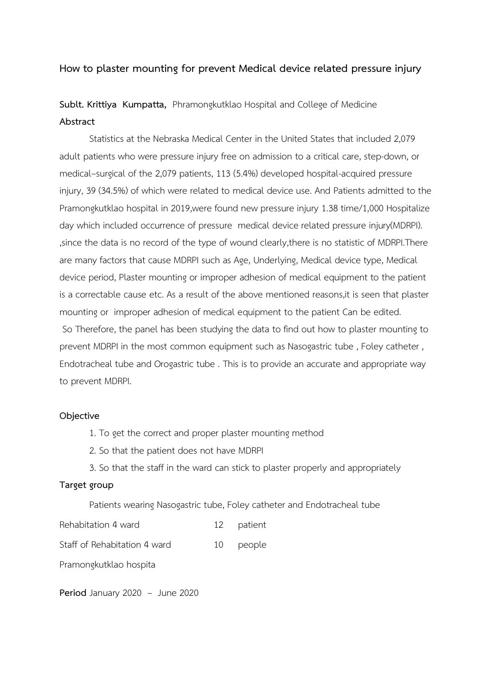# **How to plaster mounting for prevent Medical device related pressure injury**

**Sublt. Krittiya Kumpatta,** Phramongkutklao Hospital and College of Medicine **Abstract**

 Statistics at the Nebraska Medical Center in the United States that included 2,079 adult patients who were pressure injury free on admission to a critical care, step-down, or medical–surgical of the 2,079 patients, 113 (5.4%) developed hospital-acquired pressure injury, 39 (34.5%) of which were related to medical device use. And Patients admitted to the Pramongkutklao hospital in 2019,were found new pressure injury 1.38 time/1,000 Hospitalize day which included occurrence of pressure medical device related pressure injury(MDRPI). ,since the data is no record of the type of wound clearly,there is no statistic of MDRPI.There are many factors that cause MDRPI such as Age, Underlying, Medical device type, Medical device period, Plaster mounting or improper adhesion of medical equipment to the patient is a correctable cause etc. As a result of the above mentioned reasons,it is seen that plaster mounting or improper adhesion of medical equipment to the patient Can be edited. So Therefore, the panel has been studying the data to find out how to plaster mounting to prevent MDRPI in the most common equipment such as Nasogastric tube , Foley catheter , Endotracheal tube and Orogastric tube . This is to provide an accurate and appropriate way to prevent MDRPI.

#### **Objective**

- 1. To get the correct and proper plaster mounting method
- 2. So that the patient does not have MDRPI
- 3. So that the staff in the ward can stick to plaster properly and appropriately

## **Target group**

Patients wearing Nasogastric tube, Foley catheter and Endotracheal tube

Rehabitation 4 ward 12 patient

Staff of Rehabitation 4 ward 10 people

Pramongkutklao hospita

**Period** January 2020 – June 2020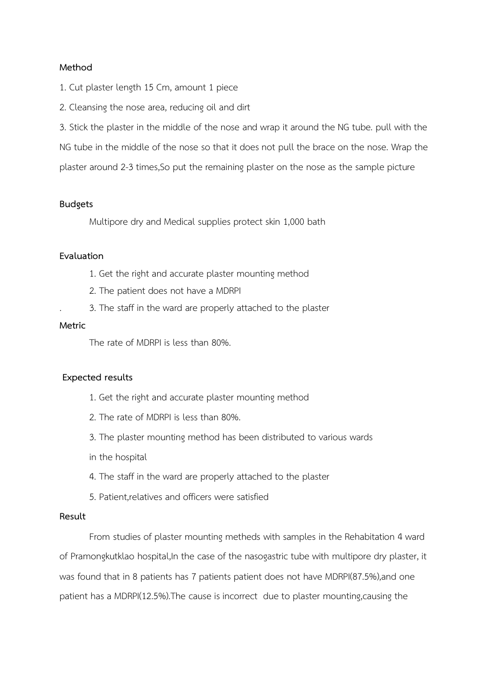#### **Method**

- 1. Cut plaster length 15 Cm, amount 1 piece
- 2. Cleansing the nose area, reducing oil and dirt

3. Stick the plaster in the middle of the nose and wrap it around the NG tube. pull with the NG tube in the middle of the nose so that it does not pull the brace on the nose. Wrap the plaster around 2-3 times,So put the remaining plaster on the nose as the sample picture

#### **Budgets**

Multipore dry and Medical supplies protect skin 1 ,000 bath

## **Evaluation**

- 1. Get the right and accurate plaster mounting method
- 2. The patient does not have a MDRPI
- . 3. The staff in the ward are properly attached to the plaster

#### **Metric**

The rate of MDRPI is less than 80%.

## **Expected results**

- 1. Get the right and accurate plaster mounting method
- 2. The rate of MDRPI is less than 80%.
- 3. The plaster mounting method has been distributed to various wards
- in the hospital
- 4. The staff in the ward are properly attached to the plaster
- 5. Patient,relatives and officers were satisfied

## **Result**

From studies of plaster mounting metheds with samples in the Rehabitation 4 ward of Pramongkutklao hospital, In the case of the nasogastric tube with multipore dry plaster, it was found that in 8 patients has 7 patients patient does not have MDRPI(87.5%),and one patient has a MDRPI(12.5%).The cause is incorrect due to plaster mounting,causing the